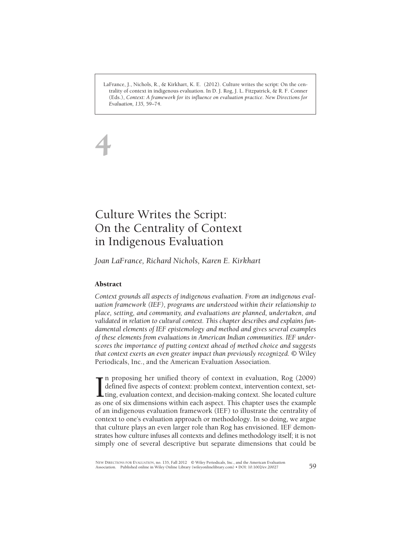LaFrance, J., Nichols, R., & Kirkhart, K. E. (2012). Culture writes the script: On the centrality of context in indigenous evaluation. In D. J. Rog, J. L. Fitzpatrick, & R. F. Conner (Eds.), *Context: A framework for its influence on evaluation practice. New Directions for Evaluation, 135,* 59–74.

Culture Writes the Script: On the Centrality of Context in Indigenous Evaluation

*Joan LaFrance, Richard Nichols, Karen E. Kirkhart*

### **Abstract**

**4**

*Context grounds all aspects of indigenous evaluation. From an indigenous evaluation framework (IEF), programs are understood within their relationship to place, setting, and community, and evaluations are planned, undertaken, and validated in relation to cultural context. This chapter describes and explains fundamental elements of IEF epistemology and method and gives several examples of these elements from evaluations in American Indian communities. IEF underscores the importance of putting context ahead of method choice and suggests that context exerts an even greater impact than previously recognized.* © Wiley Periodicals, Inc., and the American Evaluation Association.

 $\prod_{\text{as a}}$ n proposing her unified theory of context in evaluation, Rog (2009) defined five aspects of context: problem context, intervention context, setting, evaluation context, and decision-making context. She located culture as one of six dimensions within each aspect. This chapter uses the example of an indigenous evaluation framework (IEF) to illustrate the centrality of context to one's evaluation approach or methodology. In so doing, we argue that culture plays an even larger role than Rog has envisioned. IEF demonstrates how culture infuses all contexts and defines methodology itself; it is not simply one of several descriptive but separate dimensions that could be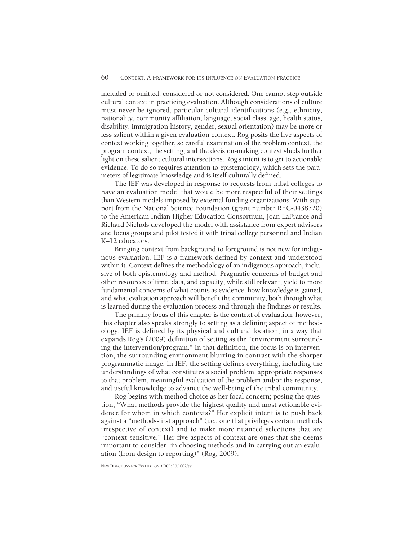#### 60 CONTEXT: A FRAMEWORK FOR ITS INFLUENCE ON EVALUATION PRACTICE

included or omitted, considered or not considered. One cannot step outside cultural context in practicing evaluation. Although considerations of culture must never be ignored, particular cultural identifications (e.g., ethnicity, nationality, community affiliation, language, social class, age, health status, disability, immigration history, gender, sexual orientation) may be more or less salient within a given evaluation context. Rog posits the five aspects of context working together, so careful examination of the problem context, the program context, the setting, and the decision-making context sheds further light on these salient cultural intersections. Rog's intent is to get to actionable evidence. To do so requires attention to epistemology, which sets the parameters of legitimate knowledge and is itself culturally defined.

The IEF was developed in response to requests from tribal colleges to have an evaluation model that would be more respectful of their settings than Western models imposed by external funding organizations. With support from the National Science Foundation (grant number REC-0438720) to the American Indian Higher Education Consortium, Joan LaFrance and Richard Nichols developed the model with assistance from expert advisors and focus groups and pilot tested it with tribal college personnel and Indian K–12 educators.

Bringing context from background to foreground is not new for indigenous evaluation. IEF is a framework defined by context and understood within it. Context defines the methodology of an indigenous approach, inclusive of both epistemology and method. Pragmatic concerns of budget and other resources of time, data, and capacity, while still relevant, yield to more fundamental concerns of what counts as evidence, how knowledge is gained, and what evaluation approach will benefit the community, both through what is learned during the evaluation process and through the findings or results.

The primary focus of this chapter is the context of evaluation; however, this chapter also speaks strongly to setting as a defining aspect of methodology. IEF is defined by its physical and cultural location, in a way that expands Rog's (2009) definition of setting as the "environment surrounding the intervention/program." In that definition, the focus is on intervention, the surrounding environment blurring in contrast with the sharper programmatic image. In IEF, the setting defines everything, including the understandings of what constitutes a social problem, appropriate responses to that problem, meaningful evaluation of the problem and/or the response, and useful knowledge to advance the well-being of the tribal community.

Rog begins with method choice as her focal concern; posing the question, "What methods provide the highest quality and most actionable evidence for whom in which contexts?" Her explicit intent is to push back against a "methods-first approach" (i.e., one that privileges certain methods irrespective of context) and to make more nuanced selections that are "context-sensitive." Her five aspects of context are ones that she deems important to consider "in choosing methods and in carrying out an evaluation (from design to reporting)" (Rog, 2009).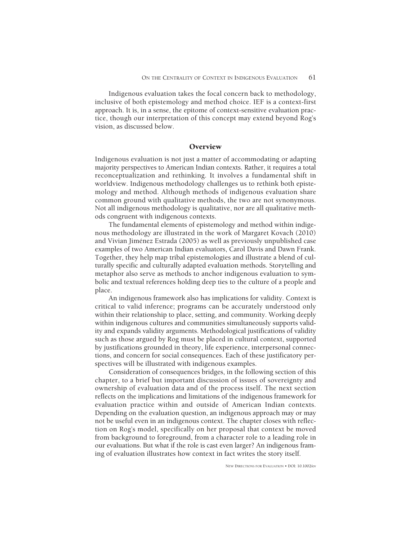Indigenous evaluation takes the focal concern back to methodology, inclusive of both epistemology and method choice. IEF is a context-first approach. It is, in a sense, the epitome of context-sensitive evaluation practice, though our interpretation of this concept may extend beyond Rog's vision, as discussed below.

#### **Overview**

Indigenous evaluation is not just a matter of accommodating or adapting majority perspectives to American Indian contexts. Rather, it requires a total reconceptualization and rethinking. It involves a fundamental shift in worldview. Indigenous methodology challenges us to rethink both epistemology and method. Although methods of indigenous evaluation share common ground with qualitative methods, the two are not synonymous. Not all indigenous methodology is qualitative, nor are all qualitative methods congruent with indigenous contexts.

The fundamental elements of epistemology and method within indigenous methodology are illustrated in the work of Margaret Kovach (2010) and Vivian Jiménez Estrada (2005) as well as previously unpublished case examples of two American Indian evaluators, Carol Davis and Dawn Frank. Together, they help map tribal epistemologies and illustrate a blend of culturally specific and culturally adapted evaluation methods. Storytelling and metaphor also serve as methods to anchor indigenous evaluation to symbolic and textual references holding deep ties to the culture of a people and place.

An indigenous framework also has implications for validity. Context is critical to valid inference; programs can be accurately understood only within their relationship to place, setting, and community. Working deeply within indigenous cultures and communities simultaneously supports validity and expands validity arguments. Methodological justifications of validity such as those argued by Rog must be placed in cultural context, supported by justifications grounded in theory, life experience, interpersonal connections, and concern for social consequences. Each of these justificatory perspectives will be illustrated with indigenous examples.

Consideration of consequences bridges, in the following section of this chapter, to a brief but important discussion of issues of sovereignty and ownership of evaluation data and of the process itself. The next section reflects on the implications and limitations of the indigenous framework for evaluation practice within and outside of American Indian contexts. Depending on the evaluation question, an indigenous approach may or may not be useful even in an indigenous context. The chapter closes with reflection on Rog's model, specifically on her proposal that context be moved from background to foreground, from a character role to a leading role in our evaluations. But what if the role is cast even larger? An indigenous framing of evaluation illustrates how context in fact writes the story itself.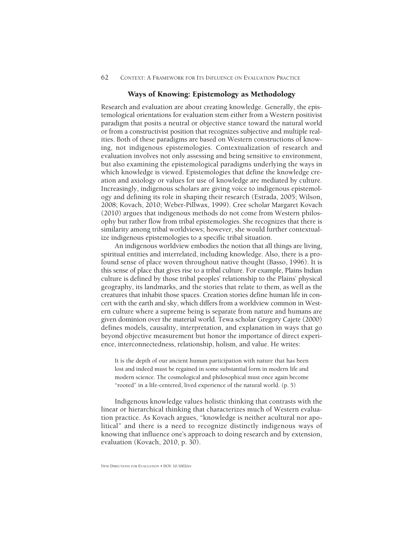## **Ways of Knowing: Epistemology as Methodology**

Research and evaluation are about creating knowledge. Generally, the epistemological orientations for evaluation stem either from a Western positivist paradigm that posits a neutral or objective stance toward the natural world or from a constructivist position that recognizes subjective and multiple realities. Both of these paradigms are based on Western constructions of knowing, not indigenous epistemologies. Contextualization of research and evaluation involves not only assessing and being sensitive to environment, but also examining the epistemological paradigms underlying the ways in which knowledge is viewed. Epistemologies that define the knowledge creation and axiology or values for use of knowledge are mediated by culture. Increasingly, indigenous scholars are giving voice to indigenous epistemology and defining its role in shaping their research (Estrada, 2005; Wilson, 2008; Kovach, 2010; Weber-Pillwax, 1999). Cree scholar Margaret Kovach (2010) argues that indigenous methods do not come from Western philosophy but rather flow from tribal epistemologies. She recognizes that there is similarity among tribal worldviews; however, she would further contextualize indigenous epistemologies to a specific tribal situation.

An indigenous worldview embodies the notion that all things are living, spiritual entities and interrelated, including knowledge. Also, there is a profound sense of place woven throughout native thought (Basso, 1996). It is this sense of place that gives rise to a tribal culture. For example, Plains Indian culture is defined by those tribal peoples' relationship to the Plains' physical geography, its landmarks, and the stories that relate to them, as well as the creatures that inhabit those spaces. Creation stories define human life in concert with the earth and sky, which differs from a worldview common in Western culture where a supreme being is separate from nature and humans are given dominion over the material world. Tewa scholar Gregory Cajete (2000) defines models, causality, interpretation, and explanation in ways that go beyond objective measurement but honor the importance of direct experience, interconnectedness, relationship, holism, and value. He writes:

It is the depth of our ancient human participation with nature that has been lost and indeed must be regained in some substantial form in modern life and modern science. The cosmological and philosophical must once again become "rooted" in a life-centered, lived experience of the natural world. (p. 5)

Indigenous knowledge values holistic thinking that contrasts with the linear or hierarchical thinking that characterizes much of Western evaluation practice. As Kovach argues, "knowledge is neither acultural nor apolitical" and there is a need to recognize distinctly indigenous ways of knowing that influence one's approach to doing research and by extension, evaluation (Kovach, 2010, p. 30).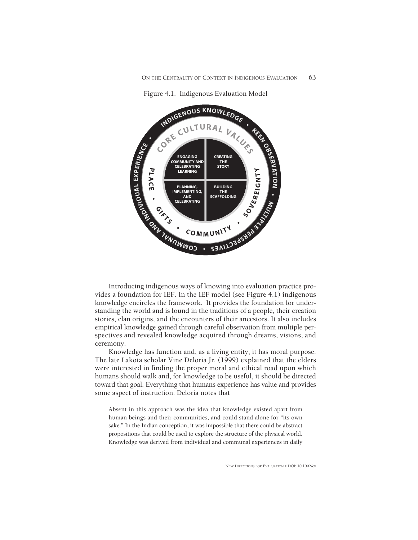

Figure 4.1. Indigenous Evaluation Model

Introducing indigenous ways of knowing into evaluation practice provides a foundation for IEF. In the IEF model (see Figure 4.1) indigenous knowledge encircles the framework. It provides the foundation for understanding the world and is found in the traditions of a people, their creation stories, clan origins, and the encounters of their ancestors. It also includes empirical knowledge gained through careful observation from multiple perspectives and revealed knowledge acquired through dreams, visions, and ceremony.

Knowledge has function and, as a living entity, it has moral purpose. The late Lakota scholar Vine Deloria Jr. (1999) explained that the elders were interested in finding the proper moral and ethical road upon which humans should walk and, for knowledge to be useful, it should be directed toward that goal. Everything that humans experience has value and provides some aspect of instruction. Deloria notes that

Absent in this approach was the idea that knowledge existed apart from human beings and their communities, and could stand alone for "its own sake." In the Indian conception, it was impossible that there could be abstract propositions that could be used to explore the structure of the physical world. Knowledge was derived from individual and communal experiences in daily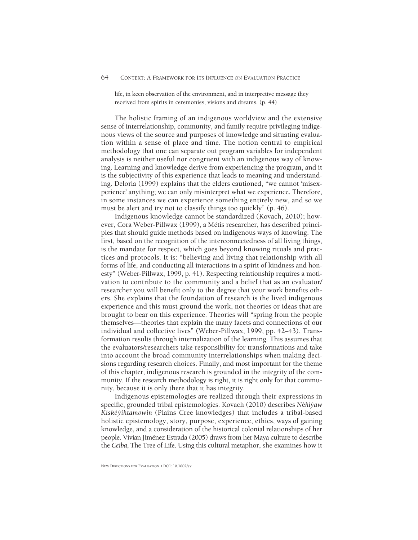#### 64 CONTEXT: A FRAMEWORK FOR ITS INFLUENCE ON EVALUATION PRACTICE

life, in keen observation of the environment, and in interpretive message they received from spirits in ceremonies, visions and dreams. (p. 44)

The holistic framing of an indigenous worldview and the extensive sense of interrelationship, community, and family require privileging indigenous views of the source and purposes of knowledge and situating evaluation within a sense of place and time. The notion central to empirical methodology that one can separate out program variables for independent analysis is neither useful nor congruent with an indigenous way of knowing. Learning and knowledge derive from experiencing the program, and it is the subjectivity of this experience that leads to meaning and understanding. Deloria (1999) explains that the elders cautioned, "we cannot 'misexperience' anything; we can only misinterpret what we experience. Therefore, in some instances we can experience something entirely new, and so we must be alert and try not to classify things too quickly" (p. 46).

Indigenous knowledge cannot be standardized (Kovach, 2010); however, Cora Weber-Pillwax (1999), a Métis researcher, has described principles that should guide methods based on indigenous ways of knowing. The first, based on the recognition of the interconnectedness of all living things, is the mandate for respect, which goes beyond knowing rituals and practices and protocols. It is: "believing and living that relationship with all forms of life, and conducting all interactions in a spirit of kindness and honesty" (Weber-Pillwax, 1999, p. 41). Respecting relationship requires a motivation to contribute to the community and a belief that as an evaluator/ researcher you will benefit only to the degree that your work benefits others. She explains that the foundation of research is the lived indigenous experience and this must ground the work, not theories or ideas that are brought to bear on this experience. Theories will "spring from the people themselves—theories that explain the many facets and connections of our individual and collective lives" (Weber-Pillwax, 1999, pp. 42–43). Transformation results through internalization of the learning. This assumes that the evaluators/researchers take responsibility for transformations and take into account the broad community interrelationships when making decisions regarding research choices. Finally, and most important for the theme of this chapter, indigenous research is grounded in the integrity of the community. If the research methodology is right, it is right only for that community, because it is only there that it has integrity.

Indigenous epistemologies are realized through their expressions in specific, grounded tribal epistemologies. Kovach (2010) describes *N*ê*hi´yaw Kiskê´yihtamowin* (Plains Cree knowledges) that includes a tribal-based holistic epistemology, story, purpose, experience, ethics, ways of gaining knowledge, and a consideration of the historical colonial relationships of her people. Vivian Jiménez Estrada (2005) draws from her Maya culture to describe the *Ceiba*, The Tree of Life. Using this cultural metaphor, she examines how it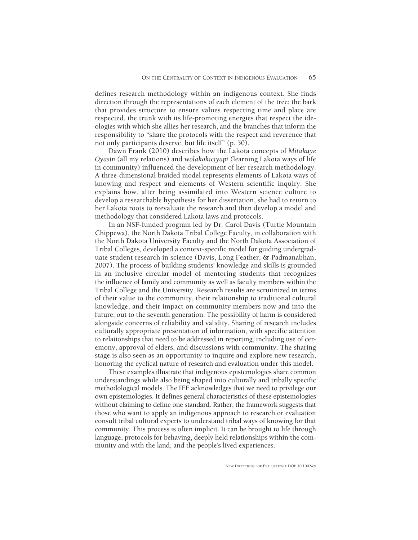defines research methodology within an indigenous context. She finds direction through the representations of each element of the tree: the bark that provides structure to ensure values respecting time and place are respected, the trunk with its life-promoting energies that respect the ideologies with which she allies her research, and the branches that inform the responsibility to "share the protocols with the respect and reverence that not only participants deserve, but life itself" (p. 50).

Dawn Frank (2010) describes how the Lakota concepts of *Mitakuye Oyasin* (all my relations) and *wolakokiciyapi* (learning Lakota ways of life in community) influenced the development of her research methodology. A three-dimensional braided model represents elements of Lakota ways of knowing and respect and elements of Western scientific inquiry. She explains how, after being assimilated into Western science culture to develop a researchable hypothesis for her dissertation, she had to return to her Lakota roots to reevaluate the research and then develop a model and methodology that considered Lakota laws and protocols.

In an NSF-funded program led by Dr. Carol Davis (Turtle Mountain Chippewa), the North Dakota Tribal College Faculty, in collaboration with the North Dakota University Faculty and the North Dakota Association of Tribal Colleges, developed a context-specific model for guiding undergraduate student research in science (Davis, Long Feather, & Padmanabhan, 2007). The process of building students' knowledge and skills is grounded in an inclusive circular model of mentoring students that recognizes the influence of family and community as well as faculty members within the Tribal College and the University. Research results are scrutinized in terms of their value to the community, their relationship to traditional cultural knowledge, and their impact on community members now and into the future, out to the seventh generation. The possibility of harm is considered alongside concerns of reliability and validity. Sharing of research includes culturally appropriate presentation of information, with specific attention to relationships that need to be addressed in reporting, including use of ceremony, approval of elders, and discussions with community. The sharing stage is also seen as an opportunity to inquire and explore new research, honoring the cyclical nature of research and evaluation under this model.

These examples illustrate that indigenous epistemologies share common understandings while also being shaped into culturally and tribally specific methodological models. The IEF acknowledges that we need to privilege our own epistemologies. It defines general characteristics of these epistemologies without claiming to define one standard. Rather, the framework suggests that those who want to apply an indigenous approach to research or evaluation consult tribal cultural experts to understand tribal ways of knowing for that community. This process is often implicit. It can be brought to life through language, protocols for behaving, deeply held relationships within the community and with the land, and the people's lived experiences.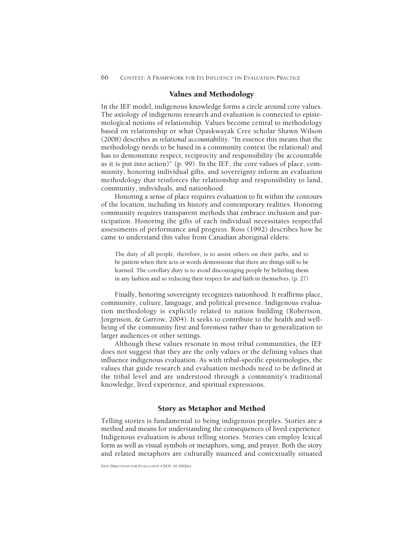## **Values and Methodology**

In the IEF model, indigenous knowledge forms a circle around core values. The axiology of indigenous research and evaluation is connected to epistemological notions of relationship. Values become central to methodology based on relationship or what Opaskwayak Cree scholar Shawn Wilson (2008) describes as *relational accountability*. "In essence this means that the methodology needs to be based in a community context (be relational) and has to demonstrate respect, reciprocity and responsibility (be accountable as it is put into action)" (p. 99). In the IEF, the core values of place, community, honoring individual gifts, and sovereignty inform an evaluation methodology that reinforces the relationship and responsibility to land, community, individuals, and nationhood.

Honoring a sense of place requires evaluation to fit within the contours of the location, including its history and contemporary realities. Honoring community requires transparent methods that embrace inclusion and participation. Honoring the gifts of each individual necessitates respectful assessments of performance and progress. Ross (1992) describes how he came to understand this value from Canadian aboriginal elders:

The duty of all people, therefore, is to assist others on their paths, and to be patient when their acts or words demonstrate that there are things still to be learned. The corollary duty is to avoid discouraging people by belittling them in any fashion and so reducing their respect for and faith in themselves. (p. 27)

Finally, honoring sovereignty recognizes nationhood. It reaffirms place, community, culture, language, and political presence. Indigenous evaluation methodology is explicitly related to nation building (Robertson, Jorgenson, & Garrow, 2004). It seeks to contribute to the health and wellbeing of the community first and foremost rather than to generalization to larger audiences or other settings.

Although these values resonate in most tribal communities, the IEF does not suggest that they are the only values or the defining values that influence indigenous evaluation. As with tribal-specific epistemologies, the values that guide research and evaluation methods need to be defined at the tribal level and are understood through a community's traditional knowledge, lived experience, and spiritual expressions.

# **Story as Metaphor and Method**

Telling stories is fundamental to being indigenous peoples. Stories are a method and means for understanding the consequences of lived experience. Indigenous evaluation is about telling stories. Stories can employ lexical form as well as visual symbols or metaphors, song, and prayer. Both the story and related metaphors are culturally nuanced and contextually situated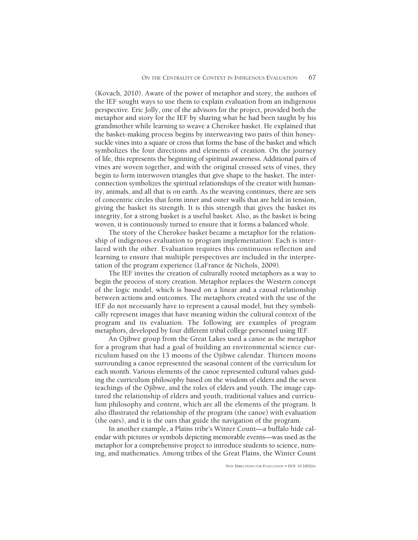(Kovach, 2010). Aware of the power of metaphor and story, the authors of the IEF sought ways to use them to explain evaluation from an indigenous perspective. Eric Jolly, one of the advisors for the project, provided both the metaphor and story for the IEF by sharing what he had been taught by his grandmother while learning to weave a Cherokee basket. He explained that the basket-making process begins by interweaving two pairs of thin honeysuckle vines into a square or cross that forms the base of the basket and which symbolizes the four directions and elements of creation. On the journey of life, this represents the beginning of spiritual awareness. Additional pairs of vines are woven together, and with the original crossed sets of vines, they begin to form interwoven triangles that give shape to the basket. The interconnection symbolizes the spiritual relationships of the creator with humanity, animals, and all that is on earth. As the weaving continues, there are sets of concentric circles that form inner and outer walls that are held in tension, giving the basket its strength. It is this strength that gives the basket its integrity, for a strong basket is a useful basket. Also, as the basket is being woven, it is continuously turned to ensure that it forms a balanced whole.

The story of the Cherokee basket became a metaphor for the relationship of indigenous evaluation to program implementation: Each is interlaced with the other. Evaluation requires this continuous reflection and learning to ensure that multiple perspectives are included in the interpretation of the program experience (LaFrance & Nichols, 2009).

The IEF invites the creation of culturally rooted metaphors as a way to begin the process of story creation. Metaphor replaces the Western concept of the logic model, which is based on a linear and a causal relationship between actions and outcomes. The metaphors created with the use of the IEF do not necessarily have to represent a causal model, but they symbolically represent images that have meaning within the cultural context of the program and its evaluation. The following are examples of program metaphors, developed by four different tribal college personnel using IEF.

An Ojibwe group from the Great Lakes used a canoe as the metaphor for a program that had a goal of building an environmental science curriculum based on the 13 moons of the Ojibwe calendar. Thirteen moons surrounding a canoe represented the seasonal content of the curriculum for each month. Various elements of the canoe represented cultural values guiding the curriculum philosophy based on the wisdom of elders and the seven teachings of the Ojibwe, and the roles of elders and youth. The image captured the relationship of elders and youth, traditional values and curriculum philosophy and content, which are all the elements of the program. It also illustrated the relationship of the program (the canoe) with evaluation (the oars), and it is the oars that guide the navigation of the program.

In another example, a Plains tribe's Winter Count—a buffalo hide calendar with pictures or symbols depicting memorable events—was used as the metaphor for a comprehensive project to introduce students to science, nursing, and mathematics. Among tribes of the Great Plains, the Winter Count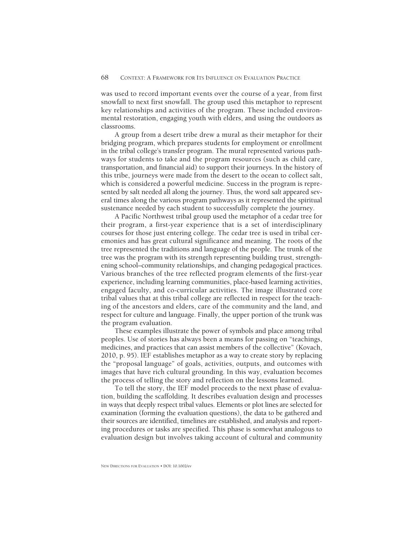was used to record important events over the course of a year, from first snowfall to next first snowfall. The group used this metaphor to represent key relationships and activities of the program. These included environmental restoration, engaging youth with elders, and using the outdoors as classrooms.

A group from a desert tribe drew a mural as their metaphor for their bridging program, which prepares students for employment or enrollment in the tribal college's transfer program. The mural represented various pathways for students to take and the program resources (such as child care, transportation, and financial aid) to support their journeys. In the history of this tribe, journeys were made from the desert to the ocean to collect salt, which is considered a powerful medicine. Success in the program is represented by salt needed all along the journey. Thus, the word *salt* appeared several times along the various program pathways as it represented the spiritual sustenance needed by each student to successfully complete the journey.

A Pacific Northwest tribal group used the metaphor of a cedar tree for their program, a first-year experience that is a set of interdisciplinary courses for those just entering college. The cedar tree is used in tribal ceremonies and has great cultural significance and meaning. The roots of the tree represented the traditions and language of the people. The trunk of the tree was the program with its strength representing building trust, strengthening school–community relationships, and changing pedagogical practices. Various branches of the tree reflected program elements of the first-year experience, including learning communities, place-based learning activities, engaged faculty, and co-curricular activities. The image illustrated core tribal values that at this tribal college are reflected in respect for the teaching of the ancestors and elders, care of the community and the land, and respect for culture and language. Finally, the upper portion of the trunk was the program evaluation.

These examples illustrate the power of symbols and place among tribal peoples. Use of stories has always been a means for passing on "teachings, medicines, and practices that can assist members of the collective" (Kovach, 2010, p. 95). IEF establishes metaphor as a way to create story by replacing the "proposal language" of goals, activities, outputs, and outcomes with images that have rich cultural grounding. In this way, evaluation becomes the process of telling the story and reflection on the lessons learned.

To tell the story, the IEF model proceeds to the next phase of evaluation, building the scaffolding. It describes evaluation design and processes in ways that deeply respect tribal values. Elements or plot lines are selected for examination (forming the evaluation questions), the data to be gathered and their sources are identified, timelines are established, and analysis and reporting procedures or tasks are specified. This phase is somewhat analogous to evaluation design but involves taking account of cultural and community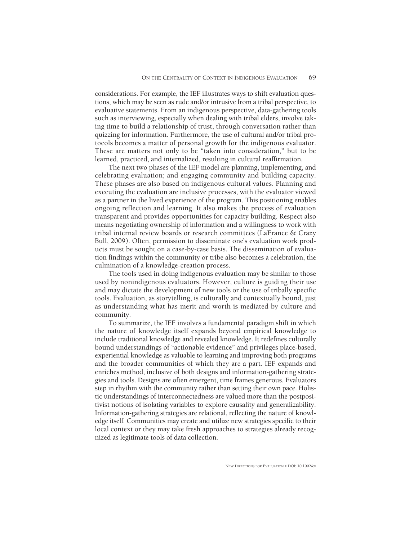considerations. For example, the IEF illustrates ways to shift evaluation questions, which may be seen as rude and/or intrusive from a tribal perspective, to evaluative statements. From an indigenous perspective, data-gathering tools such as interviewing, especially when dealing with tribal elders, involve taking time to build a relationship of trust, through conversation rather than quizzing for information. Furthermore, the use of cultural and/or tribal protocols becomes a matter of personal growth for the indigenous evaluator. These are matters not only to be "taken into consideration," but to be learned, practiced, and internalized, resulting in cultural reaffirmation.

The next two phases of the IEF model are planning, implementing, and celebrating evaluation; and engaging community and building capacity. These phases are also based on indigenous cultural values. Planning and executing the evaluation are inclusive processes, with the evaluator viewed as a partner in the lived experience of the program. This positioning enables ongoing reflection and learning. It also makes the process of evaluation transparent and provides opportunities for capacity building. Respect also means negotiating ownership of information and a willingness to work with tribal internal review boards or research committees (LaFrance & Crazy Bull, 2009). Often, permission to disseminate one's evaluation work products must be sought on a case-by-case basis. The dissemination of evaluation findings within the community or tribe also becomes a celebration, the culmination of a knowledge-creation process.

The tools used in doing indigenous evaluation may be similar to those used by nonindigenous evaluators. However, culture is guiding their use and may dictate the development of new tools or the use of tribally specific tools. Evaluation, as storytelling, is culturally and contextually bound, just as understanding what has merit and worth is mediated by culture and community.

To summarize, the IEF involves a fundamental paradigm shift in which the nature of knowledge itself expands beyond empirical knowledge to include traditional knowledge and revealed knowledge. It redefines culturally bound understandings of "actionable evidence" and privileges place-based, experiential knowledge as valuable to learning and improving both programs and the broader communities of which they are a part. IEF expands and enriches method, inclusive of both designs and information-gathering strategies and tools. Designs are often emergent, time frames generous. Evaluators step in rhythm with the community rather than setting their own pace. Holistic understandings of interconnectedness are valued more than the postpositivist notions of isolating variables to explore causality and generalizability. Information-gathering strategies are relational, reflecting the nature of knowledge itself. Communities may create and utilize new strategies specific to their local context or they may take fresh approaches to strategies already recognized as legitimate tools of data collection.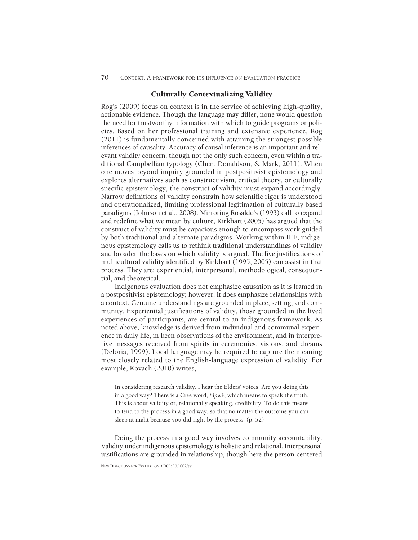## **Culturally Contextualizing Validity**

Rog's (2009) focus on context is in the service of achieving high-quality, actionable evidence. Though the language may differ, none would question the need for trustworthy information with which to guide programs or policies. Based on her professional training and extensive experience, Rog (2011) is fundamentally concerned with attaining the strongest possible inferences of causality. Accuracy of causal inference is an important and relevant validity concern, though not the only such concern, even within a traditional Campbellian typology (Chen, Donaldson, & Mark, 2011). When one moves beyond inquiry grounded in postpositivist epistemology and explores alternatives such as constructivism, critical theory, or culturally specific epistemology, the construct of validity must expand accordingly. Narrow definitions of validity constrain how scientific rigor is understood and operationalized, limiting professional legitimation of culturally based paradigms (Johnson et al., 2008). Mirroring Rosaldo's (1993) call to expand and redefine what we mean by culture, Kirkhart (2005) has argued that the construct of validity must be capacious enough to encompass work guided by both traditional and alternate paradigms. Working within IEF, indigenous epistemology calls us to rethink traditional understandings of validity and broaden the bases on which validity is argued. The five justifications of multicultural validity identified by Kirkhart (1995, 2005) can assist in that process. They are: experiential, interpersonal, methodological, consequential, and theoretical.

Indigenous evaluation does not emphasize causation as it is framed in a postpositivist epistemology; however, it does emphasize relationships with a context. Genuine understandings are grounded in place, setting, and community. Experiential justifications of validity, those grounded in the lived experiences of participants, are central to an indigenous framework. As noted above, knowledge is derived from individual and communal experience in daily life, in keen observations of the environment, and in interpretive messages received from spirits in ceremonies, visions, and dreams (Deloria, 1999). Local language may be required to capture the meaning most closely related to the English-language expression of validity. For example, Kovach (2010) writes,

In considering research validity, I hear the Elders' voices: Are you doing this in a good way? There is a Cree word, *tâpw*ê, which means to speak the truth. This is about validity or, relationally speaking, credibility. To do this means to tend to the process in a good way, so that no matter the outcome you can sleep at night because you did right by the process. (p. 52)

Doing the process in a good way involves community accountability. Validity under indigenous epistemology is holistic and relational. Interpersonal justifications are grounded in relationship, though here the person-centered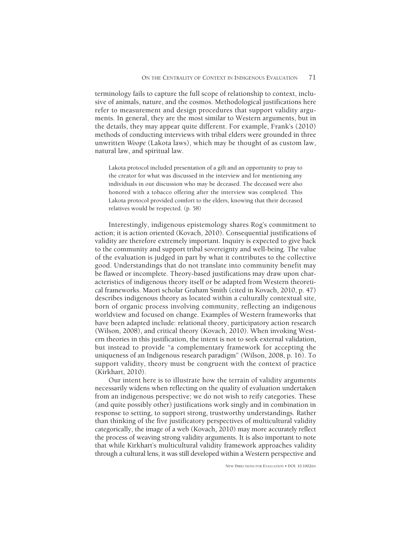terminology fails to capture the full scope of relationship to context, inclusive of animals, nature, and the cosmos. Methodological justifications here refer to measurement and design procedures that support validity arguments. In general, they are the most similar to Western arguments, but in the details, they may appear quite different. For example, Frank's (2010) methods of conducting interviews with tribal elders were grounded in three unwritten *Woope* (Lakota laws), which may be thought of as custom law, natural law, and spiritual law.

Lakota protocol included presentation of a gift and an opportunity to pray to the creator for what was discussed in the interview and for mentioning any individuals in our discussion who may be deceased. The deceased were also honored with a tobacco offering after the interview was completed. This Lakota protocol provided comfort to the elders, knowing that their deceased relatives would be respected. (p. 58)

Interestingly, indigenous epistemology shares Rog's commitment to action; it is action oriented (Kovach, 2010). Consequential justifications of validity are therefore extremely important. Inquiry is expected to give back to the community and support tribal sovereignty and well-being. The value of the evaluation is judged in part by what it contributes to the collective good. Understandings that do not translate into community benefit may be flawed or incomplete. Theory-based justifications may draw upon characteristics of indigenous theory itself or be adapted from Western theoretical frameworks. Maori scholar Graham Smith (cited in Kovach, 2010, p. 47) describes indigenous theory as located within a culturally contextual site, born of organic process involving community, reflecting an indigenous worldview and focused on change. Examples of Western frameworks that have been adapted include: relational theory, participatory action research (Wilson, 2008), and critical theory (Kovach, 2010). When invoking Western theories in this justification, the intent is not to seek external validation, but instead to provide "a complementary framework for accepting the uniqueness of an Indigenous research paradigm" (Wilson, 2008, p. 16). To support validity, theory must be congruent with the context of practice (Kirkhart, 2010).

Our intent here is to illustrate how the terrain of validity arguments necessarily widens when reflecting on the quality of evaluation undertaken from an indigenous perspective; we do not wish to reify categories. These (and quite possibly other) justifications work singly and in combination in response to setting, to support strong, trustworthy understandings. Rather than thinking of the five justificatory perspectives of multicultural validity categorically, the image of a web (Kovach, 2010) may more accurately reflect the process of weaving strong validity arguments. It is also important to note that while Kirkhart's multicultural validity framework approaches validity through a cultural lens, it was still developed within a Western perspective and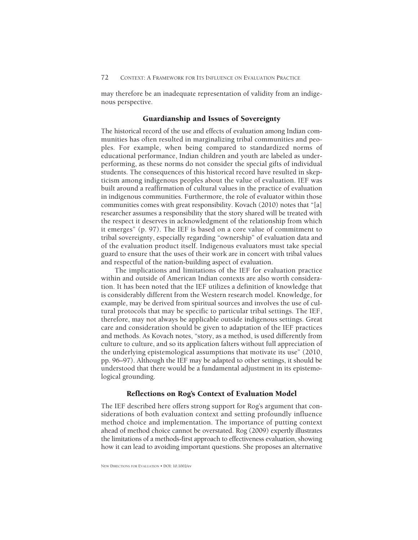may therefore be an inadequate representation of validity from an indigenous perspective.

### **Guardianship and Issues of Sovereignty**

The historical record of the use and effects of evaluation among Indian communities has often resulted in marginalizing tribal communities and peoples. For example, when being compared to standardized norms of educational performance, Indian children and youth are labeled as underperforming, as these norms do not consider the special gifts of individual students. The consequences of this historical record have resulted in skepticism among indigenous peoples about the value of evaluation. IEF was built around a reaffirmation of cultural values in the practice of evaluation in indigenous communities. Furthermore, the role of evaluator within those communities comes with great responsibility. Kovach (2010) notes that "[a] researcher assumes a responsibility that the story shared will be treated with the respect it deserves in acknowledgment of the relationship from which it emerges" (p. 97). The IEF is based on a core value of commitment to tribal sovereignty, especially regarding "ownership" of evaluation data and of the evaluation product itself. Indigenous evaluators must take special guard to ensure that the uses of their work are in concert with tribal values and respectful of the nation-building aspect of evaluation.

The implications and limitations of the IEF for evaluation practice within and outside of American Indian contexts are also worth consideration. It has been noted that the IEF utilizes a definition of knowledge that is considerably different from the Western research model. Knowledge, for example, may be derived from spiritual sources and involves the use of cultural protocols that may be specific to particular tribal settings. The IEF, therefore, may not always be applicable outside indigenous settings. Great care and consideration should be given to adaptation of the IEF practices and methods. As Kovach notes, "story, as a method, is used differently from culture to culture, and so its application falters without full appreciation of the underlying epistemological assumptions that motivate its use" (2010, pp. 96–97). Although the IEF may be adapted to other settings, it should be understood that there would be a fundamental adjustment in its epistemological grounding.

# **Reflections on Rog's Context of Evaluation Model**

The IEF described here offers strong support for Rog's argument that considerations of both evaluation context and setting profoundly influence method choice and implementation. The importance of putting context ahead of method choice cannot be overstated. Rog (2009) expertly illustrates the limitations of a methods-first approach to effectiveness evaluation, showing how it can lead to avoiding important questions. She proposes an alternative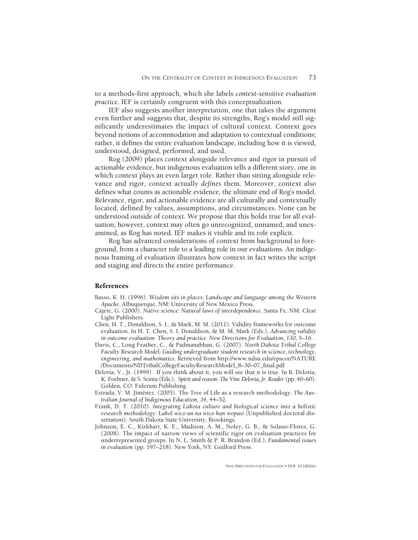to a methods-first approach, which she labels *context-sensitive evaluation practice*. IEF is certainly congruent with this conceptualization.

IEF also suggests another interpretation, one that takes the argument even further and suggests that, despite its strengths, Rog's model still significantly underestimates the impact of cultural context. Context goes beyond notions of accommodation and adaptation to contextual conditions; rather, it defines the entire evaluation landscape, including how it is viewed, understood, designed, performed, and used.

Rog (2009) places context alongside relevance and rigor in pursuit of actionable evidence, but indigenous evaluation tells a different story, one in which context plays an even larger role. Rather than sitting alongside relevance and rigor, context actually *defines* them. Moreover, context also defines what counts as actionable evidence, the ultimate end of Rog's model. Relevance, rigor, and actionable evidence are all culturally and contextually located, defined by values, assumptions, and circumstances. None can be understood outside of context. We propose that this holds true for all evaluation; however, context may often go unrecognized, unnamed, and unexamined, as Rog has noted. IEF makes it visible and its role explicit.

Rog has advanced considerations of context from background to foreground, from a character role to a leading role in our evaluations. An indigenous framing of evaluation illustrates how context in fact writes the script and staging and directs the entire performance.

#### **References**

- Basso, K. H. (1996). *Wisdom sits in places: Landscape and language among the Western Apache.* Albuquerque, NM: University of New Mexico Press.
- Cajete, G. (2000). *Native science: Natural laws of interdependence*. Santa Fe, NM: Clear Light Publishers.
- Chen, H. T., Donaldson, S. I., & Mark, M. M. (2011). Validity frameworks for outcome evaluation. In H. T. Chen, S. I. Donaldson, & M. M. Mark (Eds.), *Advancing validity in outcome evaluation: Theory and practice. New Directions for Evaluation, 130,* 5–16.
- Davis, C., Long Feather, C., & Padmanabhan, G. (2007). *North Dakota Tribal College Faculty Research Model; Guiding undergraduate student research in science, technology, engineering, and mathematics*. Retrieved from http://www.ndsu.edu/epscor/NATURE /Documents/NDTribalCollegeFacultyResearchModel\_8–30–07\_final.pdf
- Deloria, V., Jr. (1999). If you think about it, you will see that it is true. In B. Deloria, K. Foehner, & S. Scinta (Eds.), *Spirit and reason: The Vine Deloria, Jr. Reader* (pp. 40–60). Golden, CO: Fulcrum Publishing.
- Estrada, V. M. Jiménez. (2005). The Tree of Life as a research methodology. *The Australian Journal of Indigenous Education, 34,* 44–52.
- Frank, D. T. (2010). *Integrating Lakota culture and biological science into a holistic research methodology: Lakol wico un na wico han wopasi* (Unpublished doctoral dissertation). South Dakota State University, Brookings.
- Johnson, E. C., Kirkhart, K. E., Madison, A. M., Noley, G. B., & Solano-Flores, G. (2008). The impact of narrow views of scientific rigor on evaluation practices for underrepresented groups. In N. L. Smith & P. R. Brandon (Ed.), *Fundamental issues in evaluation* (pp. 197–218). New York, NY: Guilford Press.